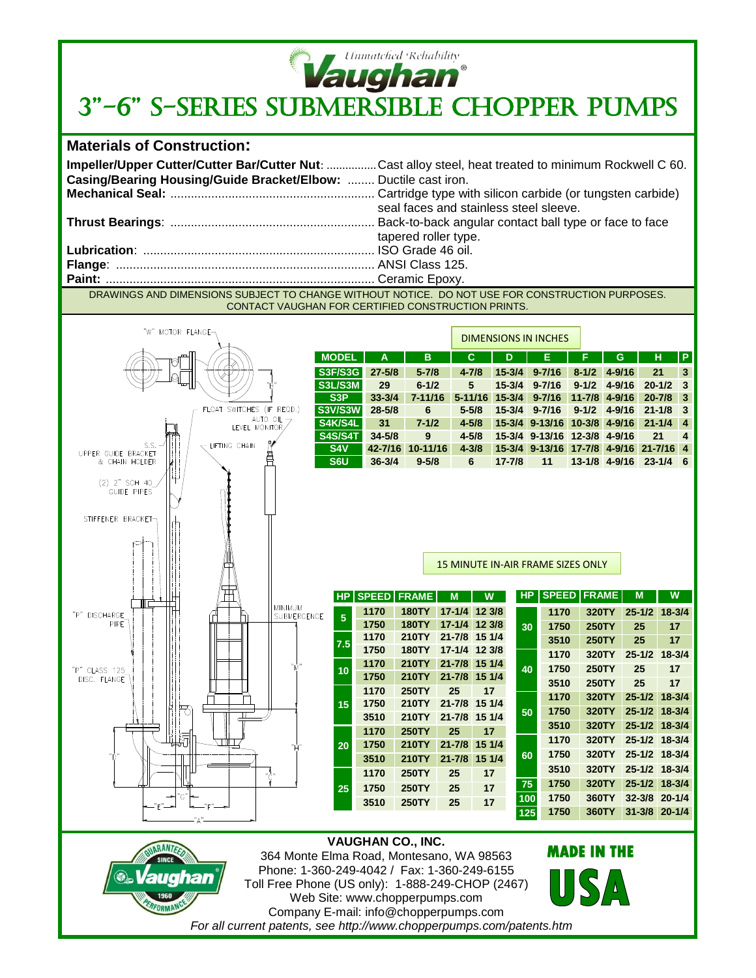

## **Vaughan<sup>®</sup>**<br>3"-6" S-SERIES SUBMERSIBLE CHOPPER PUMPS



| Casing/Bearing Housing/Guide Bracket/Elbow:  Ductile cast iron. | Impeller/Upper Cutter/Cutter Bar/Cutter Nut: Cast alloy steel, heat treated to minimum Rockwell C 60.<br>seal faces and stainless steel sleeve. |
|-----------------------------------------------------------------|-------------------------------------------------------------------------------------------------------------------------------------------------|
|                                                                 |                                                                                                                                                 |
|                                                                 | tapered roller type.                                                                                                                            |
|                                                                 |                                                                                                                                                 |
|                                                                 |                                                                                                                                                 |
|                                                                 |                                                                                                                                                 |
|                                                                 | DRAWINGS AND DIMENSIONS SUBJECT TO CHANGE WITHOUT NOTICE. DO NOT USE FOR CONSTRUCTION PURPOSES.                                                 |

CONTACT VAUGHAN FOR CERTIFIED CONSTRUCTION PRINTS.



*For all current patents, see http://www.chopperpumps.com/patents.htm*